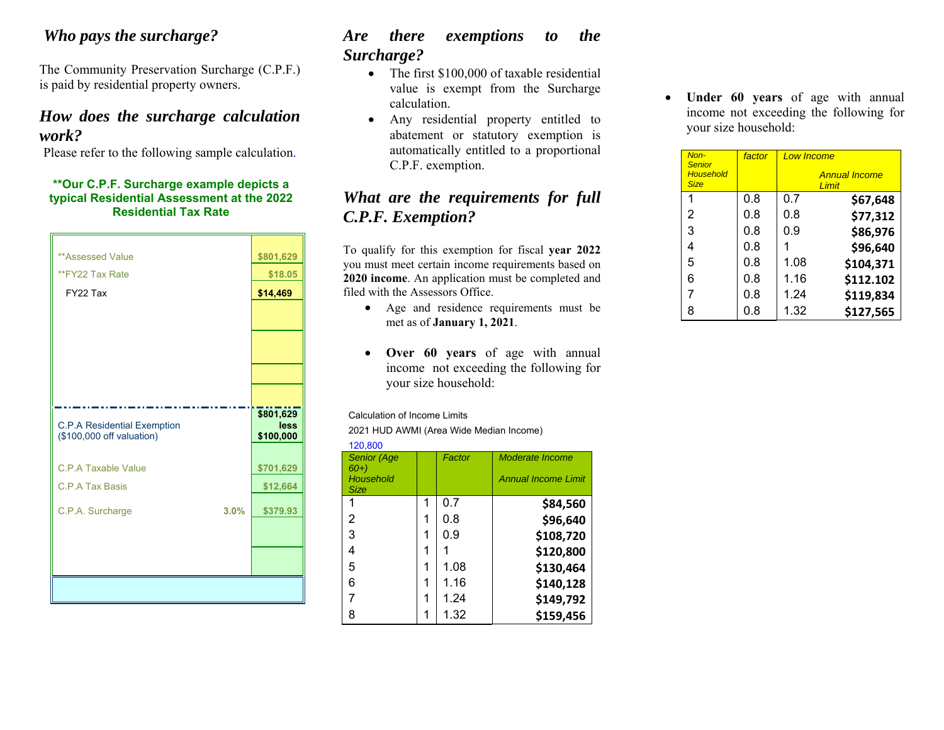#### *Who pays the surcharge?*

The Community Preservation Surcharge (C.P.F.) is paid by residential property owners.

#### *How does the surcharge calculation work?*

Please refer to the following sample calculation.

#### **\*\*Our C.P.F. Surcharge example depicts a typical Residential Assessment at the 2022 Residential Tax Rate**

| <b>**Assessed Value</b>                                         | \$801,629         |
|-----------------------------------------------------------------|-------------------|
| **FY22 Tax Rate                                                 | \$18.05           |
| FY22 Tax                                                        | \$14,469          |
|                                                                 |                   |
|                                                                 |                   |
|                                                                 |                   |
|                                                                 |                   |
|                                                                 |                   |
|                                                                 |                   |
|                                                                 | \$801,629<br>less |
| <b>C.P.A Residential Exemption</b><br>(\$100,000 off valuation) | \$100,000         |
|                                                                 |                   |
| C.P.A Taxable Value                                             | \$701,629         |
| C.P.A Tax Basis                                                 | \$12,664          |
| C.P.A. Surcharge<br>3.0%                                        | \$379.93          |
|                                                                 |                   |
|                                                                 |                   |
|                                                                 |                   |
|                                                                 |                   |

## *Are there exemptions to the Surcharge?*

- The first \$100,000 of taxable residential value is exempt from the Surcharge calculation.
- Any residential property entitled to abatement or statutory exemption is automatically entitled to a proportional C.P.F. exemption.

### *What are the requirements for full C.P.F. Exemption?*

To qualify for this exemption for fiscal **year 2022** you must meet certain income requirements based on **2020 income**. An application must be completed and filed with the Assessors Office.

- Age and residence requirements must be met as of **January 1, 2021**.
- $\bullet$  **Over 60 years** of age with annual income not exceeding the following for your size household:

Calculation of Income Limits

2021 HUD AWMI (Area Wide Median Income)

| 120,800                     |   |        |                            |  |  |
|-----------------------------|---|--------|----------------------------|--|--|
| <b>Senior (Age</b><br>$60+$ |   | Factor | Moderate Income            |  |  |
| Household<br><b>Size</b>    |   |        | <b>Annual Income Limit</b> |  |  |
|                             | 1 | 0.7    | \$84,560                   |  |  |
| 2                           | 1 | 0.8    | \$96,640                   |  |  |
| 3                           | 1 | 0.9    | \$108,720                  |  |  |
| 4                           |   |        | \$120,800                  |  |  |
| 5                           | 1 | 1.08   | \$130,464                  |  |  |
| 6                           | 1 | 1.16   | \$140,128                  |  |  |
|                             | 1 | 1.24   | \$149,792                  |  |  |
| 8                           |   | 1.32   | \$159,456                  |  |  |

 **Under 60 years** of age with annual income not exceeding the following for your size household:

| Non-<br><b>Senior</b>           | factor | <b>Low Income</b> |                               |
|---------------------------------|--------|-------------------|-------------------------------|
| <b>Household</b><br><b>Size</b> |        |                   | <b>Annual Income</b><br>Limit |
| 1                               | 0.8    | 0.7               | \$67,648                      |
| 2                               | 0.8    | 0.8               | \$77,312                      |
| 3                               | 0.8    | 0.9               | \$86,976                      |
| 4                               | 0.8    |                   | \$96,640                      |
| 5                               | 0.8    | 1.08              | \$104,371                     |
| 6                               | 0.8    | 1.16              | \$112.102                     |
| 7                               | 0.8    | 1.24              | \$119,834                     |
| 8                               | 0.8    | 1.32              | \$127,565                     |